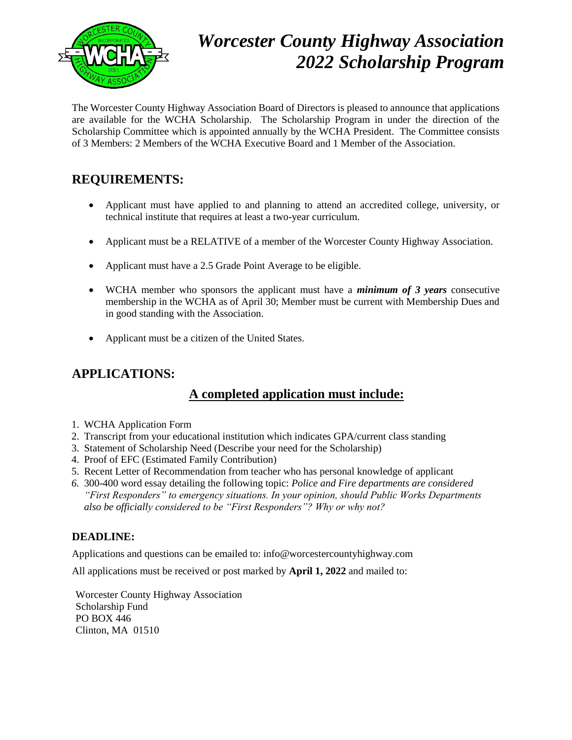

# *Worcester County Highway Association 2022 Scholarship Program*

The Worcester County Highway Association Board of Directors is pleased to announce that applications are available for the WCHA Scholarship. The Scholarship Program in under the direction of the Scholarship Committee which is appointed annually by the WCHA President. The Committee consists of 3 Members: 2 Members of the WCHA Executive Board and 1 Member of the Association.

### **REQUIREMENTS:**

- Applicant must have applied to and planning to attend an accredited college, university, or technical institute that requires at least a two-year curriculum.
- Applicant must be a RELATIVE of a member of the Worcester County Highway Association.
- Applicant must have a 2.5 Grade Point Average to be eligible.
- WCHA member who sponsors the applicant must have a *minimum of 3 years* consecutive membership in the WCHA as of April 30; Member must be current with Membership Dues and in good standing with the Association.
- Applicant must be a citizen of the United States.

## **APPLICATIONS:**

#### **A completed application must include:**

- 1. WCHA Application Form
- 2. Transcript from your educational institution which indicates GPA/current class standing
- 3. Statement of Scholarship Need (Describe your need for the Scholarship)
- 4. Proof of EFC (Estimated Family Contribution)
- 5. Recent Letter of Recommendation from teacher who has personal knowledge of applicant
- *6.* 300-400 word essay detailing the following topic: *Police and Fire departments are considered "First Responders" to emergency situations. In your opinion, should Public Works Departments also be officially considered to be "First Responders"? Why or why not?*

#### **DEADLINE:**

Applications and questions can be emailed to: info@worcestercountyhighway.com

All applications must be received or post marked by **April 1, 2022** and mailed to:

Worcester County Highway Association Scholarship Fund PO BOX 446 Clinton, MA 01510